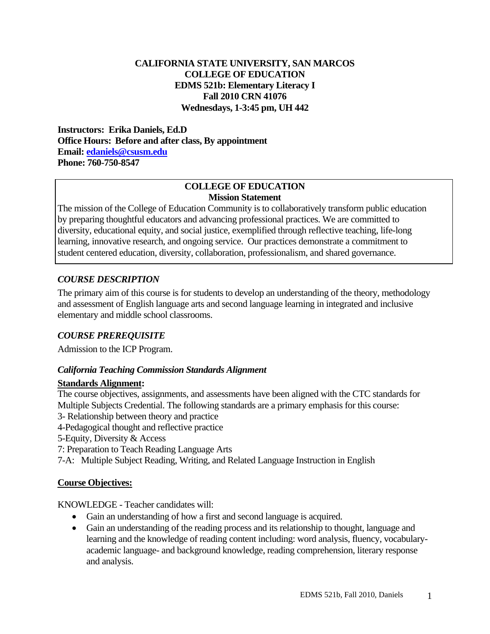#### **CALIFORNIA STATE UNIVERSITY, SAN MARCOS COLLEGE OF EDUCATION EDMS 521b: Elementary Literacy I Fall 2010 CRN 41076 Wednesdays, 1-3:45 pm, UH 442**

 **Email: edaniels@csusm.edu Phone: 760-750-8547 Instructors: Erika Daniels, Ed.D Office Hours: Before and after class, By appointment** 

#### **COLLEGE OF EDUCATION Mission Statement**

The mission of the College of Education Community is to collaboratively transform public education by preparing thoughtful educators and advancing professional practices. We are committed to diversity, educational equity, and social justice, exemplified through reflective teaching, life-long learning, innovative research, and ongoing service. Our practices demonstrate a commitment to student centered education, diversity, collaboration, professionalism, and shared governance.

## *COURSE DESCRIPTION*

The primary aim of this course is for students to develop an understanding of the theory, methodology and assessment of English language arts and second language learning in integrated and inclusive elementary and middle school classrooms.

# *COURSE PREREQUISITE*

Admission to the ICP Program.

### *California Teaching Commission Standards Alignment*

### **Standards Alignment:**

The course objectives, assignments, and assessments have been aligned with the CTC standards for Multiple Subjects Credential. The following standards are a primary emphasis for this course:

- 3- Relationship between theory and practice
- 4-Pedagogical thought and reflective practice
- 5-Equity, Diversity & Access
- 7: Preparation to Teach Reading Language Arts
- 7-A: Multiple Subject Reading, Writing, and Related Language Instruction in English

### **Course Objectives:**

KNOWLEDGE - Teacher candidates will:

- Gain an understanding of how a first and second language is acquired.
- and analysis. Gain an understanding of the reading process and its relationship to thought, language and learning and the knowledge of reading content including: word analysis, fluency, vocabularyacademic language- and background knowledge, reading comprehension, literary response and analysis.<br> EDMS 521b, Fall 2010, Daniels 1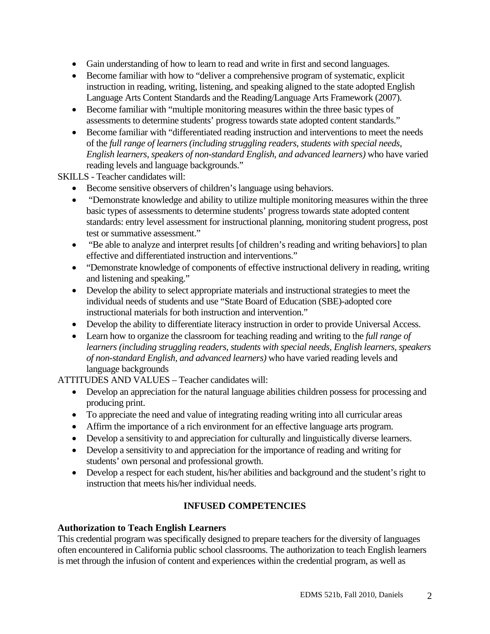- Gain understanding of how to learn to read and write in first and second languages.
- Become familiar with how to "deliver a comprehensive program of systematic, explicit instruction in reading, writing, listening, and speaking aligned to the state adopted English Language Arts Content Standards and the Reading/Language Arts Framework (2007).
- Become familiar with "multiple monitoring measures within the three basic types of assessments to determine students' progress towards state adopted content standards."
- Become familiar with "differentiated reading instruction and interventions to meet the needs of the *full range of learners (including struggling readers, students with special needs, English learners, speakers of non-standard English, and advanced learners)* who have varied reading levels and language backgrounds."

SKILLS - Teacher candidates will:

- Become sensitive observers of children's language using behaviors.
- "Demonstrate knowledge and ability to utilize multiple monitoring measures within the three basic types of assessments to determine students' progress towards state adopted content standards: entry level assessment for instructional planning, monitoring student progress, post test or summative assessment."
- "Be able to analyze and interpret results [of children's reading and writing behaviors] to plan effective and differentiated instruction and interventions."
- "Demonstrate knowledge of components of effective instructional delivery in reading, writing and listening and speaking."
- Develop the ability to select appropriate materials and instructional strategies to meet the individual needs of students and use "State Board of Education (SBE)-adopted core instructional materials for both instruction and intervention."
- Develop the ability to differentiate literacy instruction in order to provide Universal Access.
- Learn how to organize the classroom for teaching reading and writing to the *full range of learners (including struggling readers, students with special needs, English learners, speakers of non-standard English, and advanced learners)* who have varied reading levels and language backgrounds

ATTITUDES AND VALUES – Teacher candidates will:

- Develop an appreciation for the natural language abilities children possess for processing and producing print.
- To appreciate the need and value of integrating reading writing into all curricular areas
- Affirm the importance of a rich environment for an effective language arts program.
- Develop a sensitivity to and appreciation for culturally and linguistically diverse learners.
- Develop a sensitivity to and appreciation for the importance of reading and writing for students' own personal and professional growth.
- Develop a respect for each student, his/her abilities and background and the student's right to instruction that meets his/her individual needs.

# **INFUSED COMPETENCIES**

### **Authorization to Teach English Learners**

This credential program was specifically designed to prepare teachers for the diversity of languages often encountered in California public school classrooms. The authorization to teach English learners is met through the infusion of content and experiences within the credential program, as well as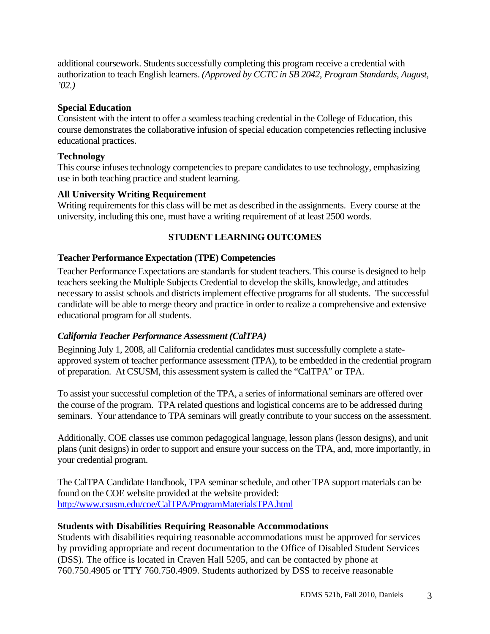additional coursework. Students successfully completing this program receive a credential with authorization to teach English learners. *(Approved by CCTC in SB 2042, Program Standards, August, '02.)* 

## **Special Education**

Consistent with the intent to offer a seamless teaching credential in the College of Education, this course demonstrates the collaborative infusion of special education competencies reflecting inclusive educational practices.

## **Technology**

This course infuses technology competencies to prepare candidates to use technology, emphasizing use in both teaching practice and student learning.

## **All University Writing Requirement**

Writing requirements for this class will be met as described in the assignments. Every course at the university, including this one, must have a writing requirement of at least 2500 words.

## **STUDENT LEARNING OUTCOMES**

## **Teacher Performance Expectation (TPE) Competencies**

Teacher Performance Expectations are standards for student teachers. This course is designed to help teachers seeking the Multiple Subjects Credential to develop the skills, knowledge, and attitudes necessary to assist schools and districts implement effective programs for all students. The successful candidate will be able to merge theory and practice in order to realize a comprehensive and extensive educational program for all students.

### *California Teacher Performance Assessment (CalTPA)*

Beginning July 1, 2008, all California credential candidates must successfully complete a stateapproved system of teacher performance assessment (TPA), to be embedded in the credential program of preparation. At CSUSM, this assessment system is called the "CalTPA" or TPA.

To assist your successful completion of the TPA, a series of informational seminars are offered over the course of the program. TPA related questions and logistical concerns are to be addressed during seminars. Your attendance to TPA seminars will greatly contribute to your success on the assessment.

Additionally, COE classes use common pedagogical language, lesson plans (lesson designs), and unit plans (unit designs) in order to support and ensure your success on the TPA, and, more importantly, in your credential program.

The CalTPA Candidate Handbook, TPA seminar schedule, and other TPA support materials can be found on the COE website provided at the website provided: http://www.csusm.edu/coe/CalTPA/ProgramMaterialsTPA.html

### **Students with Disabilities Requiring Reasonable Accommodations**

Students with disabilities requiring reasonable accommodations must be approved for services by providing appropriate and recent documentation to the Office of Disabled Student Services (DSS). The office is located in Craven Hall 5205, and can be contacted by phone at 760.750.4905 or TTY 760.750.4909. Students authorized by DSS to receive reasonable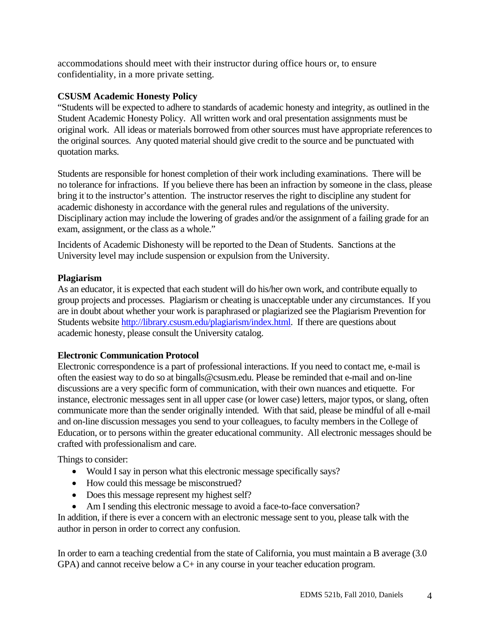accommodations should meet with their instructor during office hours or, to ensure confidentiality, in a more private setting.

### **CSUSM Academic Honesty Policy**

"Students will be expected to adhere to standards of academic honesty and integrity, as outlined in the Student Academic Honesty Policy. All written work and oral presentation assignments must be original work. All ideas or materials borrowed from other sources must have appropriate references to the original sources. Any quoted material should give credit to the source and be punctuated with quotation marks.

Students are responsible for honest completion of their work including examinations. There will be no tolerance for infractions. If you believe there has been an infraction by someone in the class, please bring it to the instructor's attention. The instructor reserves the right to discipline any student for academic dishonesty in accordance with the general rules and regulations of the university. Disciplinary action may include the lowering of grades and/or the assignment of a failing grade for an exam, assignment, or the class as a whole."

Incidents of Academic Dishonesty will be reported to the Dean of Students. Sanctions at the University level may include suspension or expulsion from the University.

### **Plagiarism**

As an educator, it is expected that each student will do his/her own work, and contribute equally to group projects and processes. Plagiarism or cheating is unacceptable under any circumstances. If you are in doubt about whether your work is paraphrased or plagiarized see the Plagiarism Prevention for Students website http://library.csusm.edu/plagiarism/index.html. If there are questions about academic honesty, please consult the University catalog.

### **Electronic Communication Protocol**

Electronic correspondence is a part of professional interactions. If you need to contact me, e-mail is often the easiest way to do so at bingalls@csusm.edu. Please be reminded that e-mail and on-line discussions are a very specific form of communication, with their own nuances and etiquette. For instance, electronic messages sent in all upper case (or lower case) letters, major typos, or slang, often communicate more than the sender originally intended. With that said, please be mindful of all e-mail and on-line discussion messages you send to your colleagues, to faculty members in the College of Education, or to persons within the greater educational community. All electronic messages should be crafted with professionalism and care.

Things to consider:

- Would I say in person what this electronic message specifically says?
- How could this message be misconstrued?
- Does this message represent my highest self?
- Am I sending this electronic message to avoid a face-to-face conversation?

In addition, if there is ever a concern with an electronic message sent to you, please talk with the author in person in order to correct any confusion.

In order to earn a teaching credential from the state of California, you must maintain a B average (3.0 GPA) and cannot receive below a C+ in any course in your teacher education program.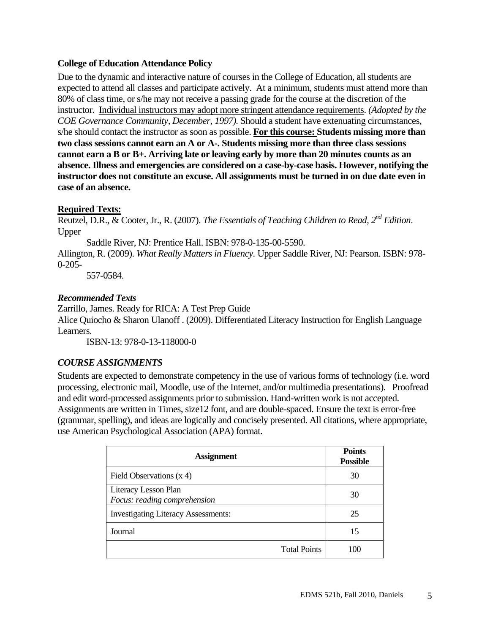#### **College of Education Attendance Policy**

Due to the dynamic and interactive nature of courses in the College of Education, all students are expected to attend all classes and participate actively. At a minimum, students must attend more than 80% of class time, or s/he may not receive a passing grade for the course at the discretion of the instructor. Individual instructors may adopt more stringent attendance requirements. *(Adopted by the COE Governance Community, December, 1997).* Should a student have extenuating circumstances, s/he should contact the instructor as soon as possible. **For this course: Students missing more than two class sessions cannot earn an A or A-. Students missing more than three class sessions cannot earn a B or B+. Arriving late or leaving early by more than 20 minutes counts as an absence. Illness and emergencies are considered on a case-by-case basis. However, notifying the instructor does not constitute an excuse. All assignments must be turned in on due date even in case of an absence.** 

#### **Required Texts:**

Reutzel, D.R., & Cooter, Jr., R. (2007). *The Essentials of Teaching Children to Read, 2nd Edition*. Upper

Saddle River, NJ: Prentice Hall. ISBN: 978-0-135-00-5590.

Allington, R. (2009). *What Really Matters in Fluency.* Upper Saddle River, NJ: Pearson. ISBN: 978- 0-205-

557-0584.

### *Recommended Texts*

Zarrillo, James. Ready for RICA: A Test Prep Guide Alice Quiocho & Sharon Ulanoff . (2009). Differentiated Literacy Instruction for English Language Learners.

ISBN-13: 978-0-13-118000-0

### *COURSE ASSIGNMENTS*

Students are expected to demonstrate competency in the use of various forms of technology (i.e. word processing, electronic mail, Moodle, use of the Internet, and/or multimedia presentations). Proofread and edit word-processed assignments prior to submission. Hand-written work is not accepted. Assignments are written in Times, size12 font, and are double-spaced. Ensure the text is error-free (grammar, spelling), and ideas are logically and concisely presented. All citations, where appropriate, use American Psychological Association (APA) format.

| <b>Assignment</b>                                    | <b>Points</b><br><b>Possible</b> |
|------------------------------------------------------|----------------------------------|
| Field Observations $(x 4)$                           | 30                               |
| Literacy Lesson Plan<br>Focus: reading comprehension | 30                               |
| <b>Investigating Literacy Assessments:</b>           | 25                               |
| Journal                                              | 15                               |
| <b>Total Points</b>                                  | 100                              |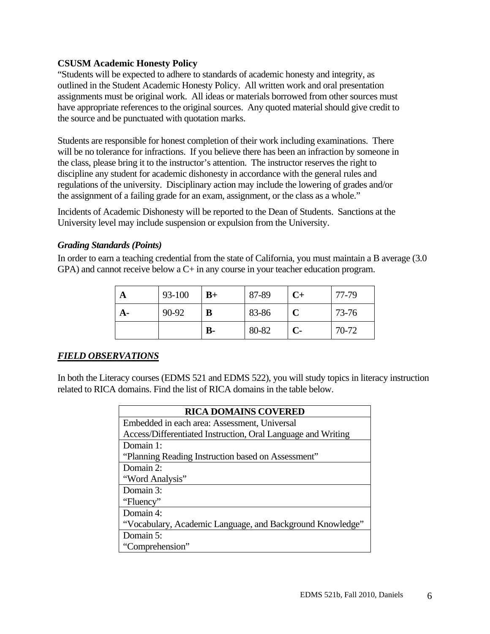#### **CSUSM Academic Honesty Policy**

 have appropriate references to the original sources. Any quoted material should give credit to "Students will be expected to adhere to standards of academic honesty and integrity, as outlined in the Student Academic Honesty Policy. All written work and oral presentation assignments must be original work. All ideas or materials borrowed from other sources must the source and be punctuated with quotation marks.

Students are responsible for honest completion of their work including examinations. There will be no tolerance for infractions. If you believe there has been an infraction by someone in the class, please bring it to the instructor's attention. The instructor reserves the right to discipline any student for academic dishonesty in accordance with the general rules and regulations of the university. Disciplinary action may include the lowering of grades and/or the assignment of a failing grade for an exam, assignment, or the class as a whole."

Incidents of Academic Dishonesty will be reported to the Dean of Students. Sanctions at the University level may include suspension or expulsion from the University.

#### *Grading Standards (Points)*

In order to earn a teaching credential from the state of California, you must maintain a B average (3.0 GPA) and cannot receive below a C+ in any course in your teacher education program.

| A  | 93-100 | $B+$      | 87-89 | $C+$ | 77-79 |
|----|--------|-----------|-------|------|-------|
| А- | 90-92  | В         | 83-86 |      | 73-76 |
|    |        | <b>B-</b> | 80-82 | $C-$ | 70-72 |

### *FIELD OBSERVATIONS*

In both the Literacy courses (EDMS 521 and EDMS 522), you will study topics in literacy instruction related to RICA domains. Find the list of RICA domains in the table below.

| <b>RICA DOMAINS COVERED</b>                                  |
|--------------------------------------------------------------|
| Embedded in each area: Assessment, Universal                 |
| Access/Differentiated Instruction, Oral Language and Writing |
| Domain 1:                                                    |
| "Planning Reading Instruction based on Assessment"           |
| Domain 2:                                                    |
| "Word Analysis"                                              |
| Domain 3:                                                    |
| "Fluency"                                                    |
| Domain 4:                                                    |
| "Vocabulary, Academic Language, and Background Knowledge"    |
| Domain 5:                                                    |
| "Comprehension"                                              |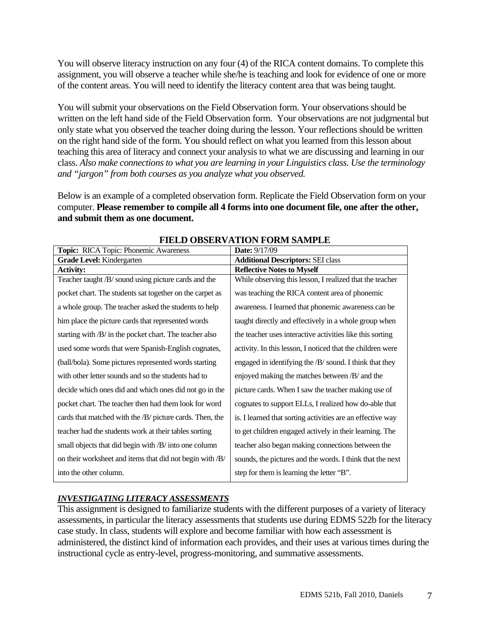You will observe literacy instruction on any four (4) of the RICA content domains. To complete this assignment, you will observe a teacher while she/he is teaching and look for evidence of one or more of the content areas. You will need to identify the literacy content area that was being taught.

 *and "jargon" from both courses as you analyze what you observed.* You will submit your observations on the Field Observation form. Your observations should be written on the left hand side of the Field Observation form. Your observations are not judgmental but only state what you observed the teacher doing during the lesson. Your reflections should be written on the right hand side of the form. You should reflect on what you learned from this lesson about teaching this area of literacy and connect your analysis to what we are discussing and learning in our class. *Also make connections to what you are learning in your Linguistics class. Use the terminology* 

Below is an example of a completed observation form. Replicate the Field Observation form on your computer. **Please remember to compile all 4 forms into one document file, one after the other, and submit them as one document.** 

| Topic: RICA Topic: Phonemic Awareness                    | <b>Date: 9/17/09</b>                                       |
|----------------------------------------------------------|------------------------------------------------------------|
| Grade Level: Kindergarten                                | <b>Additional Descriptors: SEI class</b>                   |
| <b>Activity:</b>                                         | <b>Reflective Notes to Myself</b>                          |
| Teacher taught /B/ sound using picture cards and the     | While observing this lesson, I realized that the teacher   |
| pocket chart. The students sat together on the carpet as | was teaching the RICA content area of phonemic             |
| a whole group. The teacher asked the students to help    | awareness. I learned that phonemic awareness can be        |
| him place the picture cards that represented words       | taught directly and effectively in a whole group when      |
| starting with /B/ in the pocket chart. The teacher also  | the teacher uses interactive activities like this sorting  |
| used some words that were Spanish-English cognates,      | activity. In this lesson, I noticed that the children were |
| (ball/bola). Some pictures represented words starting    | engaged in identifying the /B/ sound. I think that they    |
| with other letter sounds and so the students had to      | enjoyed making the matches between /B/ and the             |
| decide which ones did and which ones did not go in the   | picture cards. When I saw the teacher making use of        |
| pocket chart. The teacher then had them look for word    | cognates to support ELLs, I realized how do-able that      |
| cards that matched with the /B/ picture cards. Then, the | is. I learned that sorting activities are an effective way |
| teacher had the students work at their tables sorting    | to get children engaged actively in their learning. The    |
| small objects that did begin with /B/ into one column    | teacher also began making connections between the          |
| on their worksheet and items that did not begin with /B/ | sounds, the pictures and the words. I think that the next  |
| into the other column.                                   | step for them is learning the letter "B".                  |

### **FIELD OBSERVATION FORM SAMPLE**

#### *INVESTIGATING LITERACY ASSESSMENTS*

This assignment is designed to familiarize students with the different purposes of a variety of literacy assessments, in particular the literacy assessments that students use during EDMS 522b for the literacy case study. In class, students will explore and become familiar with how each assessment is administered, the distinct kind of information each provides, and their uses at various times during the instructional cycle as entry-level, progress-monitoring, and summative assessments.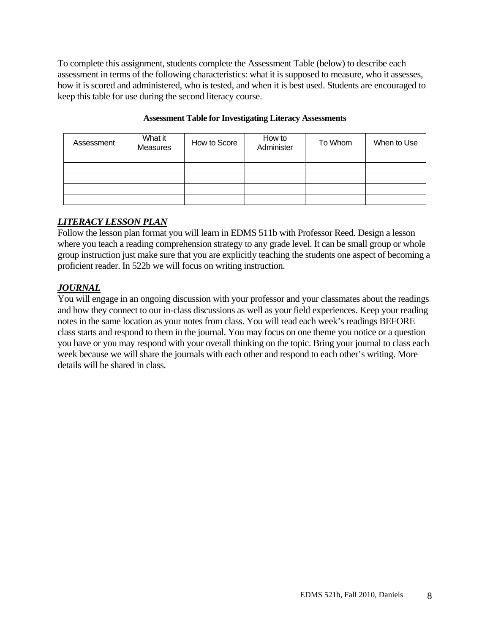To complete this assignment, students complete the Assessment Table (below) to describe each assessment in terms of the following characteristics: what it is supposed to measure, who it assesses, how it is scored and administered, who is tested, and when it is best used. Students are encouraged to keep this table for use during the second literacy course.

| Assessment | What it<br>Measures | How to Score | How to<br>Administer | To Whom | When to Use |
|------------|---------------------|--------------|----------------------|---------|-------------|
|            |                     |              |                      |         |             |
|            |                     |              |                      |         |             |
|            |                     |              |                      |         |             |
|            |                     |              |                      |         |             |
|            |                     |              |                      |         |             |

#### **Assessment Table for Investigating Literacy Assessments**

## *LITERACY LESSON PLAN*

Follow the lesson plan format you will learn in EDMS 511b with Professor Reed. Design a lesson where you teach a reading comprehension strategy to any grade level. It can be small group or whole group instruction just make sure that you are explicitly teaching the students one aspect of becoming a proficient reader. In 522b we will focus on writing instruction.

# *JOURNAL*

You will engage in an ongoing discussion with your professor and your classmates about the readings and how they connect to our in-class discussions as well as your field experiences. Keep your reading notes in the same location as your notes from class. You will read each week's readings BEFORE class starts and respond to them in the journal. You may focus on one theme you notice or a question you have or you may respond with your overall thinking on the topic. Bring your journal to class each week because we will share the journals with each other and respond to each other's writing. More details will be shared in class.